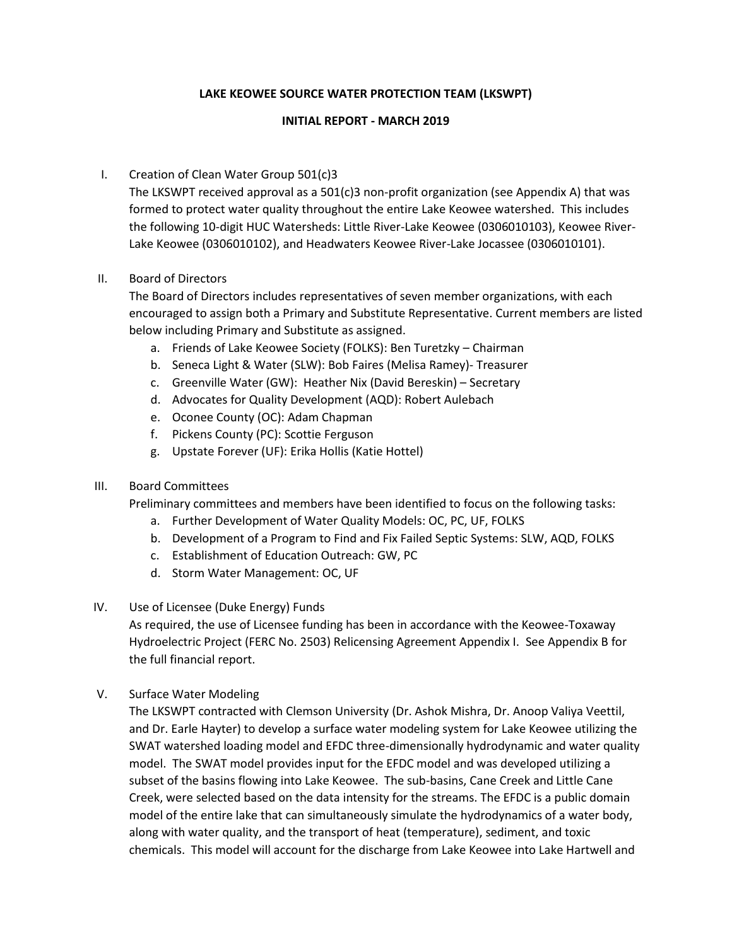#### **LAKE KEOWEE SOURCE WATER PROTECTION TEAM (LKSWPT)**

#### **INITIAL REPORT - MARCH 2019**

# I. Creation of Clean Water Group 501(c)3

The LKSWPT received approval as a 501(c)3 non-profit organization (see Appendix A) that was formed to protect water quality throughout the entire Lake Keowee watershed. This includes the following 10-digit HUC Watersheds: Little River-Lake Keowee (0306010103), Keowee River-Lake Keowee (0306010102), and Headwaters Keowee River-Lake Jocassee (0306010101).

## II. Board of Directors

The Board of Directors includes representatives of seven member organizations, with each encouraged to assign both a Primary and Substitute Representative. Current members are listed below including Primary and Substitute as assigned.

- a. Friends of Lake Keowee Society (FOLKS): Ben Turetzky Chairman
- b. Seneca Light & Water (SLW): Bob Faires (Melisa Ramey)- Treasurer
- c. Greenville Water (GW): Heather Nix (David Bereskin) Secretary
- d. Advocates for Quality Development (AQD): Robert Aulebach
- e. Oconee County (OC): Adam Chapman
- f. Pickens County (PC): Scottie Ferguson
- g. Upstate Forever (UF): Erika Hollis (Katie Hottel)

## III. Board Committees

Preliminary committees and members have been identified to focus on the following tasks:

- a. Further Development of Water Quality Models: OC, PC, UF, FOLKS
- b. Development of a Program to Find and Fix Failed Septic Systems: SLW, AQD, FOLKS
- c. Establishment of Education Outreach: GW, PC
- d. Storm Water Management: OC, UF

## IV. Use of Licensee (Duke Energy) Funds

As required, the use of Licensee funding has been in accordance with the Keowee-Toxaway Hydroelectric Project (FERC No. 2503) Relicensing Agreement Appendix I. See Appendix B for the full financial report.

V. Surface Water Modeling

The LKSWPT contracted with Clemson University (Dr. Ashok Mishra, Dr. Anoop Valiya Veettil, and Dr. Earle Hayter) to develop a surface water modeling system for Lake Keowee utilizing the SWAT watershed loading model and EFDC three-dimensionally hydrodynamic and water quality model. The SWAT model provides input for the EFDC model and was developed utilizing a subset of the basins flowing into Lake Keowee. The sub-basins, Cane Creek and Little Cane Creek, were selected based on the data intensity for the streams. The EFDC is a public domain model of the entire lake that can simultaneously simulate the hydrodynamics of a water body, along with water quality, and the transport of heat (temperature), sediment, and toxic chemicals. This model will account for the discharge from Lake Keowee into Lake Hartwell and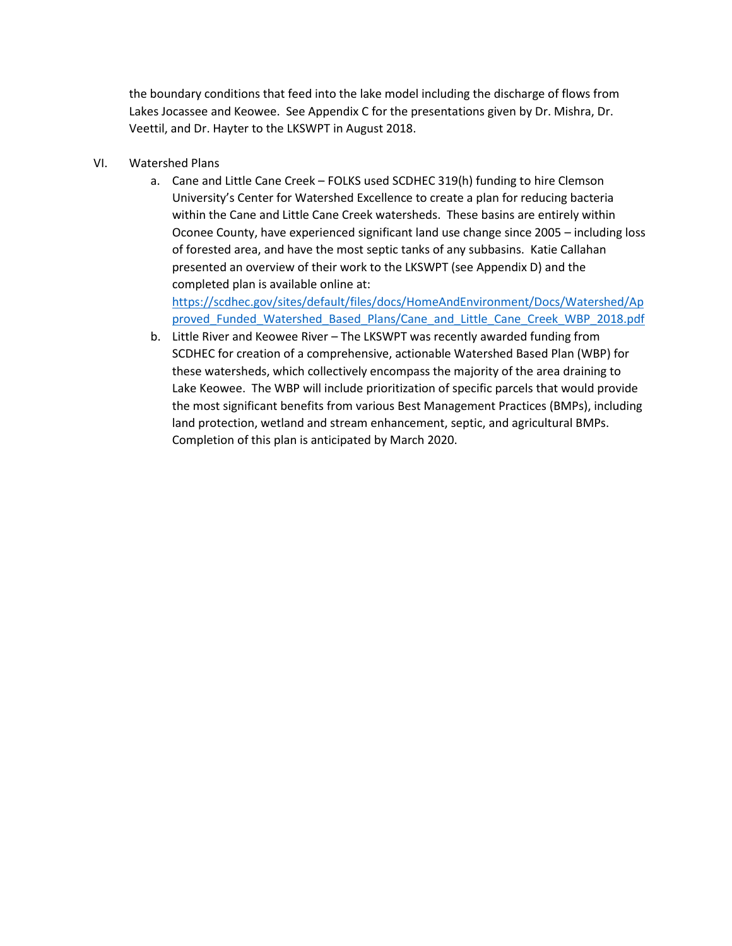the boundary conditions that feed into the lake model including the discharge of flows from Lakes Jocassee and Keowee. See Appendix C for the presentations given by Dr. Mishra, Dr. Veettil, and Dr. Hayter to the LKSWPT in August 2018.

- VI. Watershed Plans
	- a. Cane and Little Cane Creek FOLKS used SCDHEC 319(h) funding to hire Clemson University's Center for Watershed Excellence to create a plan for reducing bacteria within the Cane and Little Cane Creek watersheds. These basins are entirely within Oconee County, have experienced significant land use change since 2005 – including loss of forested area, and have the most septic tanks of any subbasins. Katie Callahan presented an overview of their work to the LKSWPT (see Appendix D) and the completed plan is available online at:

[https://scdhec.gov/sites/default/files/docs/HomeAndEnvironment/Docs/Watershed/Ap](https://scdhec.gov/sites/default/files/docs/HomeAndEnvironment/Docs/Watershed/Approved_Funded_Watershed_Based_Plans/Cane_and_Little_Cane_Creek_WBP_2018.pdf) proved Funded Watershed Based Plans/Cane and Little Cane Creek WBP 2018.pdf

b. Little River and Keowee River – The LKSWPT was recently awarded funding from SCDHEC for creation of a comprehensive, actionable Watershed Based Plan (WBP) for these watersheds, which collectively encompass the majority of the area draining to Lake Keowee. The WBP will include prioritization of specific parcels that would provide the most significant benefits from various Best Management Practices (BMPs), including land protection, wetland and stream enhancement, septic, and agricultural BMPs. Completion of this plan is anticipated by March 2020.